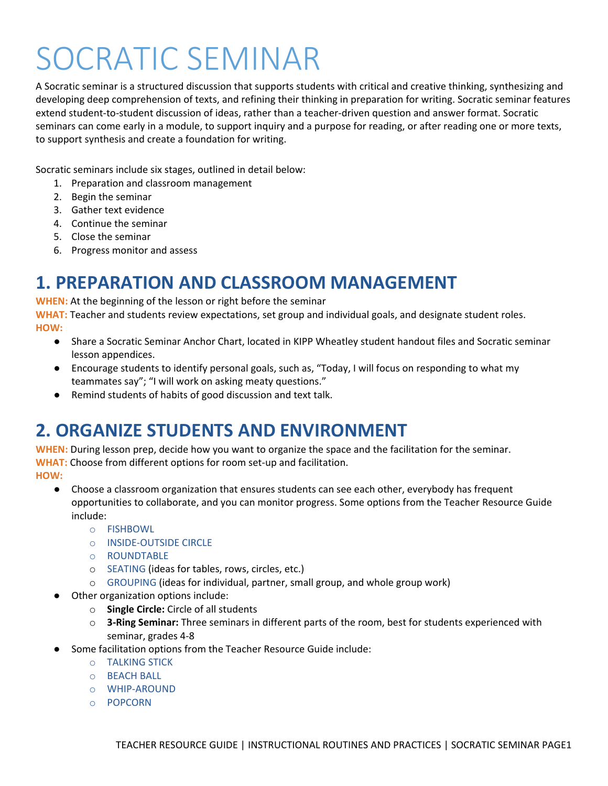# SOCRATIC SEMINAR

A Socratic seminar is a structured discussion that supports students with critical and creative thinking, synthesizing and developing deep comprehension of texts, and refining their thinking in preparation for writing. Socratic seminar features extend student-to-student discussion of ideas, rather than a teacher-driven question and answer format. Socratic seminars can come early in a module, to support inquiry and a purpose for reading, or after reading one or more texts, to support synthesis and create a foundation for writing.

Socratic seminars include six stages, outlined in detail below:

- 1. Preparation and classroom management
- 2. Begin the seminar
- 3. Gather text evidence
- 4. Continue the seminar
- 5. Close the seminar
- 6. Progress monitor and assess

## **1. PREPARATION AND CLASSROOM MANAGEMENT**

**WHEN:** At the beginning of the lesson or right before the seminar

**WHAT:** Teacher and students review expectations, set group and individual goals, and designate student roles. **HOW:**

- Share a Socratic Seminar Anchor Chart, located in KIPP Wheatley student handout files and Socratic seminar lesson appendices.
- Encourage students to identify personal goals, such as, "Today, I will focus on responding to what my teammates say"; "I will work on asking meaty questions."
- Remind students of habits of good discussion and text talk.

## **2. ORGANIZE STUDENTS AND ENVIRONMENT**

**WHEN:** During lesson prep, decide how you want to organize the space and the facilitation for the seminar. **WHAT:** Choose from different options for room set-up and facilitation.

**HOW:**

- Choose a classroom organization that ensures students can see each other, everybody has frequent opportunities to collaborate, and you can monitor progress. Some options from the Teacher Resource Guide include:
	- o FISHBOWL
	- o INSIDE-OUTSIDE CIRCLE
	- o ROUNDTABLE
	- o SEATING (ideas for tables, rows, circles, etc.)
	- o GROUPING (ideas for individual, partner, small group, and whole group work)
- Other organization options include:
	- o **Single Circle:** Circle of all students
	- o **3-Ring Seminar:** Three seminars in different parts of the room, best for students experienced with seminar, grades 4-8
- Some facilitation options from the Teacher Resource Guide include:
	- o TALKING STICK
	- o BEACH BALL
	- o WHIP-AROUND
	- o POPCORN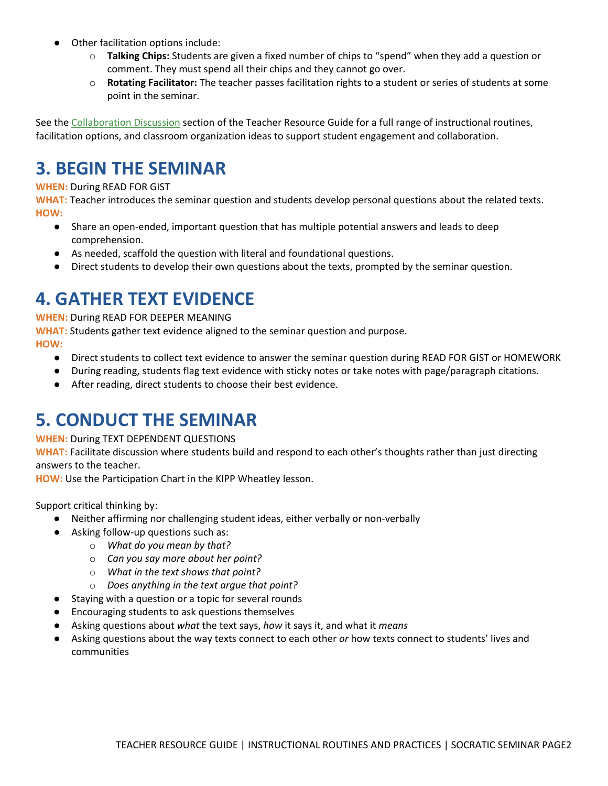- Other facilitation options include:
	- o **Talking Chips:** Students are given a fixed number of chips to "spend" when they add a question or comment. They must spend all their chips and they cannot go over.
	- o **Rotating Facilitator:** The teacher passes facilitation rights to a student or series of students at some point in the seminar.

See the [Collaboration Discussion](https://trg.kipp.org/instructional-routines-and-practices/collaboration-discussion/) section of the Teacher Resource Guide for a full range of instructional routines, facilitation options, and classroom organization ideas to support student engagement and collaboration.

## **3. BEGIN THE SEMINAR**

#### **WHEN:** During READ FOR GIST

**WHAT:** Teacher introduces the seminar question and students develop personal questions about the related texts. **HOW:**

- Share an open-ended, important question that has multiple potential answers and leads to deep comprehension.
- As needed, scaffold the question with literal and foundational questions.
- Direct students to develop their own questions about the texts, prompted by the seminar question.

## **4. GATHER TEXT EVIDENCE**

**WHEN:** During READ FOR DEEPER MEANING

**WHAT:** Students gather text evidence aligned to the seminar question and purpose.

**HOW:**

- Direct students to collect text evidence to answer the seminar question during READ FOR GIST or HOMEWORK
- During reading, students flag text evidence with sticky notes or take notes with page/paragraph citations.
- After reading, direct students to choose their best evidence.

## **5. CONDUCT THE SEMINAR**

**WHEN:** During TEXT DEPENDENT QUESTIONS

**WHAT:** Facilitate discussion where students build and respond to each other's thoughts rather than just directing answers to the teacher.

**HOW:** Use the Participation Chart in the KIPP Wheatley lesson.

Support critical thinking by:

- Neither affirming nor challenging student ideas, either verbally or non-verbally
- Asking follow-up questions such as:
	- o *What do you mean by that?*
		- o *Can you say more about her point?*
		- o *What in the text shows that point?*
		- o *Does anything in the text argue that point?*
- Staying with a question or a topic for several rounds
- Encouraging students to ask questions themselves
- Asking questions about *what* the text says, *how* it says it, and what it *means*
- Asking questions about the way texts connect to each other *or* how texts connect to students' lives and communities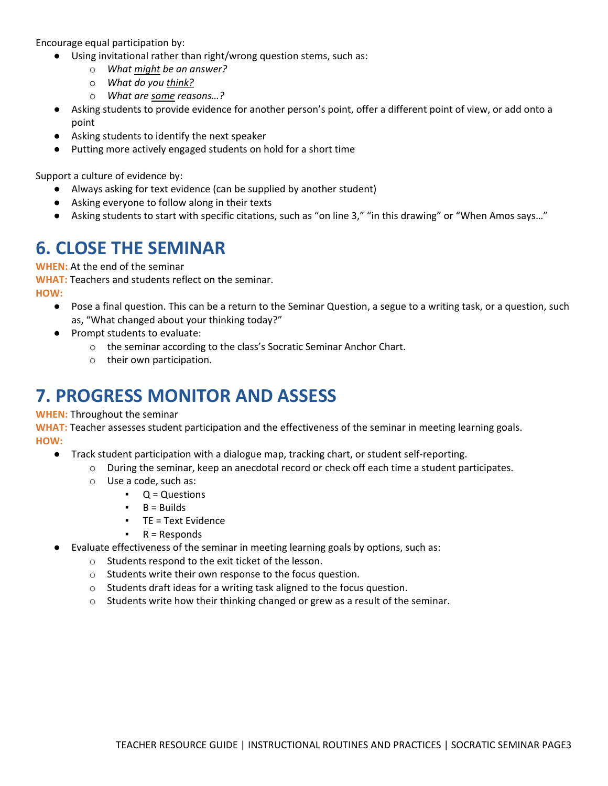Encourage equal participation by:

- Using invitational rather than right/wrong question stems, such as:
	- o *What might be an answer?*
	- o *What do you think?*
	- o *What are some reasons…?*
- Asking students to provide evidence for another person's point, offer a different point of view, or add onto a point
- Asking students to identify the next speaker
- Putting more actively engaged students on hold for a short time

Support a culture of evidence by:

- Always asking for text evidence (can be supplied by another student)
- Asking everyone to follow along in their texts
- Asking students to start with specific citations, such as "on line 3," "in this drawing" or "When Amos says…"

#### **6. CLOSE THE SEMINAR**

**WHEN:** At the end of the seminar

**WHAT:** Teachers and students reflect on the seminar.

**HOW:**

- Pose a final question. This can be a return to the Seminar Question, a segue to a writing task, or a question, such as, "What changed about your thinking today?"
- Prompt students to evaluate:
	- o the seminar according to the class's Socratic Seminar Anchor Chart.
	- o their own participation.

## **7. PROGRESS MONITOR AND ASSESS**

#### **WHEN:** Throughout the seminar

**WHAT:** Teacher assesses student participation and the effectiveness of the seminar in meeting learning goals. **HOW:**

- Track student participation with a dialogue map, tracking chart, or student self-reporting.
	- o During the seminar, keep an anecdotal record or check off each time a student participates.
	- o Use a code, such as:
		- $\bullet$   $Q =$  Questions
		- $\bullet$  B = Builds
		- TE = Text Evidence
		- $R =$  Responds
- Evaluate effectiveness of the seminar in meeting learning goals by options, such as:
	- o Students respond to the exit ticket of the lesson.
	- o Students write their own response to the focus question.
	- o Students draft ideas for a writing task aligned to the focus question.
	- o Students write how their thinking changed or grew as a result of the seminar.